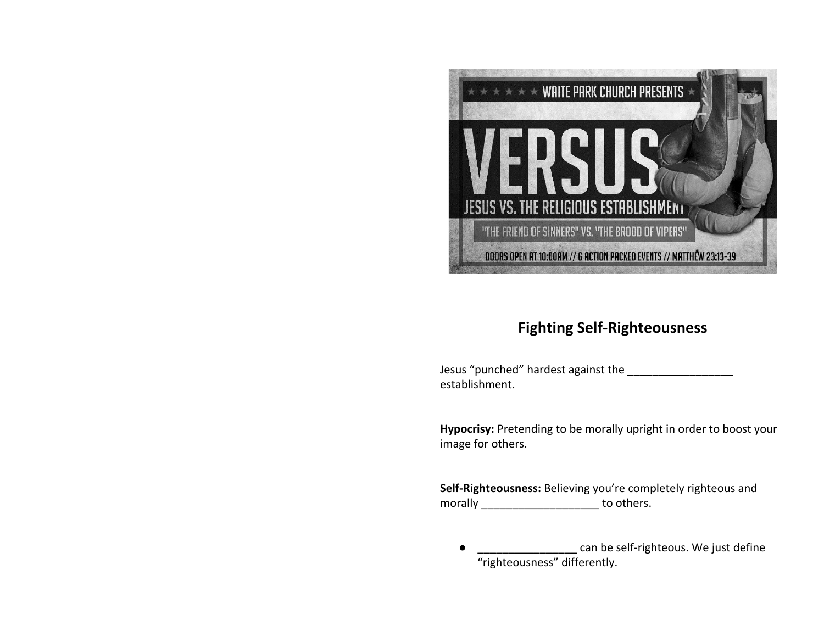

## **Fighting Self-Righteousness**

Jesus "punched" hardest against the \_\_\_\_\_\_\_\_\_\_\_\_\_\_\_\_\_ establishment.

**Hypocrisy:** Pretending to be morally upright in order to boost your image for others.

**Self-Righteousness:** Believing you're completely righteous and morally \_\_\_\_\_\_\_\_\_\_\_\_\_\_\_\_\_\_\_\_\_\_ to others.

● \_\_\_\_\_\_\_\_\_\_\_\_\_\_\_\_\_\_\_\_ can be self-righteous. We just define "righteousness" differently.